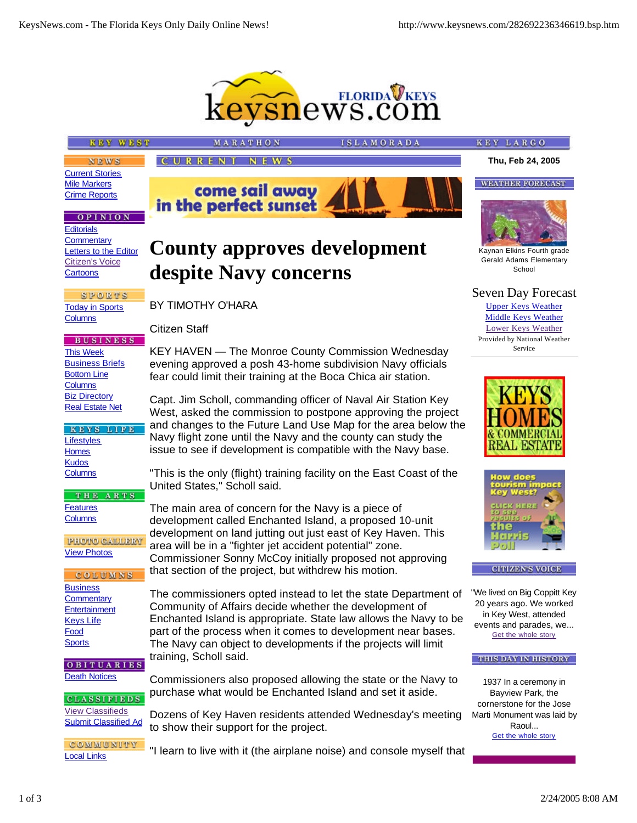

**County approves development** 

KEY HAVEN — The Monroe County Commission Wednesday evening approved a posh 43-home subdivision Navy officials fear could limit their training at the Boca Chica air station.

Capt. Jim Scholl, commanding officer of Naval Air Station Key West, asked the commission to postpone approving the project and changes to the Future Land Use Map for the area below the Navy flight zone until the Navy and the county can study the issue to see if development is compatible with the Navy base.

"This is the only (flight) training facility on the East Coast of the

Commissioner Sonny McCoy initially proposed not approving

Community of Affairs decide whether the development of

The commissioners opted instead to let the state Department of

Enchanted Island is appropriate. State law allows the Navy to be part of the process when it comes to development near bases. The Navy can object to developments if the projects will limit

Commissioners also proposed allowing the state or the Navy to purchase what would be Enchanted Island and set it aside.

The main area of concern for the Navy is a piece of development called Enchanted Island, a proposed 10-unit development on land jutting out just east of Key Haven. This

area will be in a "fighter jet accident potential" zone.

that section of the project, but withdrew his motion.

# **KEY WEST**

**CURRENT NEWS** 

in the perfect sunset

MARATHO

**despite Navy concerns**

come sail away

BY TIMOTHY O'HARA

United States," Scholl said.

training, Scholl said.

Citizen Staff

**SLAMORADA** 

**WEATHER FORECAST** 

**KEY LARGO** 

**NEWS** Current Stories Mile Markers Crime Reports

### **OPINION**

**Editorials Commentary** Letters to the Editor Citizen's Voice **Cartoons** 

**SPORTS** Today in Sports **Columns** 

**BUSINESS** This Week **Business Briefs** Bottom Line **Columns** Biz Directory Real Estate Net

### KEYS LIFE **Lifestyles Homes Kudos Columns**

THE ARTS **Features Columns** 

**PHOTO GALLERY** View Photos

COLUMNS **Business Commentary Entertainment** Keys Life Food **Sports** 

OBITUARIES **Death Notices** 

**CLASSIFIEDS** View Classifieds Submit Classified Ad

COMMUNITY Local Links

Dozens of Key Haven residents attended Wednesday's meeting to show their support for the project.

"I learn to live with it (the airplane noise) and console myself that

Kaynan Elkins Fourth grade Gerald Adams Elementary

School

Seven Day Forecast Upper Keys Weather Middle Keys Weather Lower Keys Weather

Provided by National Weather Service





**CITIZEN'S VOICE** 

"We lived on Big Coppitt Key 20 years ago. We worked in Key West, attended events and parades, we... Get the whole story

#### THIS DAY IN HISTORY

1937 In a ceremony in Bayview Park, the cornerstone for the Jose Marti Monument was laid by Raoul... Get the whole story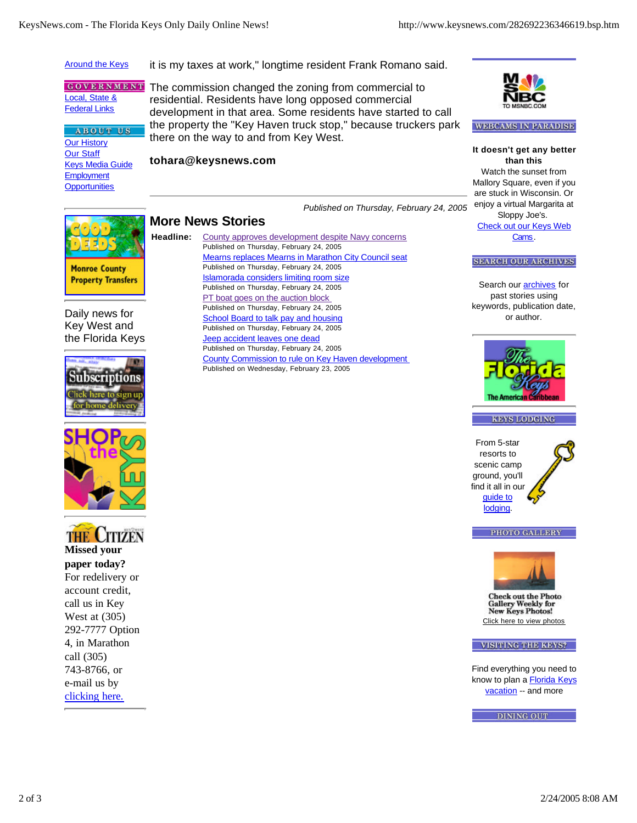## Around the Keys

**ABOUT US** 

it is my taxes at work," longtime resident Frank Romano said.

**GOVERNMENT** Local, State & **Federal Links** 

Our History Our Staff Keys Media Guide **Employment Opportunities** 

The commission changed the zoning from commercial to residential. Residents have long opposed commercial development in that area. Some residents have started to call the property the "Key Haven truck stop," because truckers park there on the way to and from Key West.

**tohara@keysnews.com**



### **WEBCAMS IN PARADISE**

*Published on Thursday, February 24, 2005* **It doesn't get any better than this** Watch the sunset from Mallory Square, even if you are stuck in Wisconsin. Or enjoy a virtual Margarita at Sloppy Joe's. Check out our Keys Web Cams.

# **More News Stories**

**Monroe County Property Transfers** 

Daily news for Key West and the Florida Keys







**paper today?** For redelivery or account credit, call us in Key West at (305) 292-7777 Option 4, in Marathon call (305) 743-8766, or e-mail us by clicking here.

**Headline:** County approves development despite Navy concerns Published on Thursday, February 24, 2005 Mearns replaces Mearns in Marathon City Council seat Published on Thursday, February 24, 2005 Islamorada considers limiting room size Published on Thursday, February 24, 2005 PT boat goes on the auction block Published on Thursday, February 24, 2005 School Board to talk pay and housing Published on Thursday, February 24, 2005 **Jeep accident leaves one dead** Published on Thursday, February 24, 2005 County Commission to rule on Key Haven development Published on Wednesday, February 23, 2005

**SEARCH OUR ARCHIVES** 

Search our **archives** for past stories using keywords, publication date, or author.





From 5-star resorts to scenic camp ground, you'll find it all in our guide to lodging.



PHOTO GALLERY



**Check out the Photo Gallery Weekly for New Keys Photos!** Click here to view photos

#### VISITING THE KEYS?

Find everything you need to know to plan a **Florida Keys** vacation -- and more

**DINING OUT**